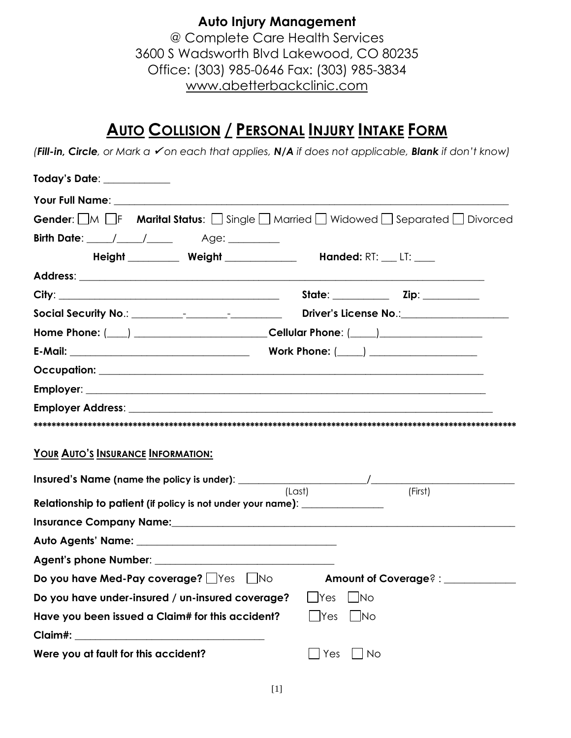**Auto Injury Management** @ Complete Care Health Services 3600 S Wadsworth Blvd Lakewood, CO 80235 Office: (303) 985-0646 Fax: (303) 985-3834 www.abetterbackclinic.com

# **AUTO COLLISION / PERSONAL INJURY INTAKE FORM**

*(Fill-in, Circle, or Mark a* ✓ *on each that applies, N/A if does not applicable, Blank if don't know)*

| Today's Date: ___________                                                                                                            |                                                                              |                     |           |                                   |  |
|--------------------------------------------------------------------------------------------------------------------------------------|------------------------------------------------------------------------------|---------------------|-----------|-----------------------------------|--|
|                                                                                                                                      |                                                                              |                     |           |                                   |  |
| <b>Gender:</b> $\Box M$ $\Box F$ <b>Marital Status:</b> $\Box$ Single $\Box$ Married $\Box$ Widowed $\Box$ Separated $\Box$ Divorced |                                                                              |                     |           |                                   |  |
|                                                                                                                                      |                                                                              |                     |           |                                   |  |
|                                                                                                                                      | <b>Height ____________ Weight _________________ Handed: RT: ___ LT: ____</b> |                     |           |                                   |  |
|                                                                                                                                      |                                                                              |                     |           |                                   |  |
|                                                                                                                                      |                                                                              |                     |           |                                   |  |
|                                                                                                                                      |                                                                              |                     |           | Driver's License No.: 1999        |  |
| Home Phone: (____) ___________________________Cellular Phone: (____) ____________                                                    |                                                                              |                     |           |                                   |  |
|                                                                                                                                      |                                                                              |                     |           |                                   |  |
|                                                                                                                                      |                                                                              |                     |           |                                   |  |
|                                                                                                                                      |                                                                              |                     |           |                                   |  |
| <b>Employer Address: Employer Address:</b>                                                                                           |                                                                              |                     |           |                                   |  |
|                                                                                                                                      |                                                                              |                     |           |                                   |  |
| YOUR AUTO'S INSURANCE INFORMATION:                                                                                                   |                                                                              |                     |           |                                   |  |
|                                                                                                                                      |                                                                              |                     |           |                                   |  |
| Relationship to patient (if policy is not under your name): ______________                                                           |                                                                              | (Last)              |           | (First)                           |  |
|                                                                                                                                      |                                                                              |                     |           |                                   |  |
|                                                                                                                                      |                                                                              |                     |           |                                   |  |
|                                                                                                                                      |                                                                              |                     |           |                                   |  |
| Do you have Med-Pay coverage? Figs Tho                                                                                               |                                                                              |                     |           | Amount of Coverage? : ___________ |  |
| Do you have under-insured / un-insured coverage?                                                                                     |                                                                              | Ves <sup>-</sup>    | No        |                                   |  |
| Have you been issued a Claim# for this accident?                                                                                     |                                                                              | $\mathsf{\neg Yes}$ | No        |                                   |  |
|                                                                                                                                      |                                                                              |                     |           |                                   |  |
| Were you at fault for this accident?                                                                                                 |                                                                              | Yes                 | <b>No</b> |                                   |  |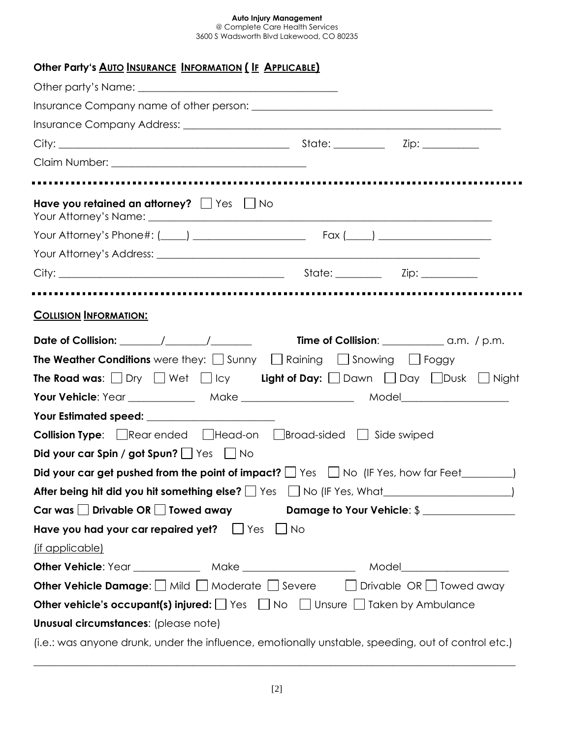@ Complete Care Health Services 3600 S Wadsworth Blvd Lakewood, CO 80235

| Other Party's AUTO INSURANCE INFORMATION (IF APPLICABLE)                                                                   |  |
|----------------------------------------------------------------------------------------------------------------------------|--|
|                                                                                                                            |  |
|                                                                                                                            |  |
|                                                                                                                            |  |
|                                                                                                                            |  |
|                                                                                                                            |  |
|                                                                                                                            |  |
| Have you retained an attorney? $\Box$ Yes $\Box$ No                                                                        |  |
|                                                                                                                            |  |
|                                                                                                                            |  |
|                                                                                                                            |  |
|                                                                                                                            |  |
| <b>COLLISION INFORMATION:</b>                                                                                              |  |
|                                                                                                                            |  |
| <b>The Weather Conditions</b> were they: $\Box$ Sunny $\Box$ Raining $\Box$ Snowing $\Box$ Foggy                           |  |
| <b>The Road was:</b> $\Box$ Dry $\Box$ Wet $\Box$ Icy <b>Light of Day:</b> $\Box$ Dawn $\Box$ Day $\Box$ Dusk $\Box$ Night |  |
|                                                                                                                            |  |
| Your Estimated speed: _______________________                                                                              |  |
| <b>Collision Type:</b> $\Box$ Rear ended $\Box$ Head-on $\Box$ Broad-sided $\Box$ Side swiped                              |  |
| Did your car Spin / got Spun? $\Box$ Yes $\Box$ No                                                                         |  |
| Did your car get pushed from the point of impact? $\Box$ Yes $\Box$ No (IF Yes, how far Feet $\rule{1em}{0.15mm}$ )        |  |
|                                                                                                                            |  |
| Car was $\Box$ Drivable OR $\Box$ Towed away $\Box$ Damage to Your Vehicle: $\$\underline{\hspace{1cm}}$                   |  |
| Have you had your car repaired yet? $\Box$ Yes $\Box$ No                                                                   |  |
| (if applicable)                                                                                                            |  |
| Other Vehicle: Year ________________ Make __________________________ Model__________________________                       |  |
| <b>Other Vehicle Damage:</b> $\Box$ Mild $\Box$ Moderate $\Box$ Severe $\Box$ Drivable OR $\Box$ Towed away                |  |
| <b>Other vehicle's occupant(s) injured:</b> $\Box$ Yes $\Box$ No $\Box$ Unsure $\Box$ Taken by Ambulance                   |  |
| Unusual circumstances: (please note)                                                                                       |  |
| (i.e.: was anyone drunk, under the influence, emotionally unstable, speeding, out of control etc.)                         |  |

 $\_$  ,  $\_$  ,  $\_$  ,  $\_$  ,  $\_$  ,  $\_$  ,  $\_$  ,  $\_$  ,  $\_$  ,  $\_$  ,  $\_$  ,  $\_$  ,  $\_$  ,  $\_$  ,  $\_$  ,  $\_$  ,  $\_$  ,  $\_$  ,  $\_$  ,  $\_$  ,  $\_$  ,  $\_$  ,  $\_$  ,  $\_$  ,  $\_$  ,  $\_$  ,  $\_$  ,  $\_$  ,  $\_$  ,  $\_$  ,  $\_$  ,  $\_$  ,  $\_$  ,  $\_$  ,  $\_$  ,  $\_$  ,  $\_$  ,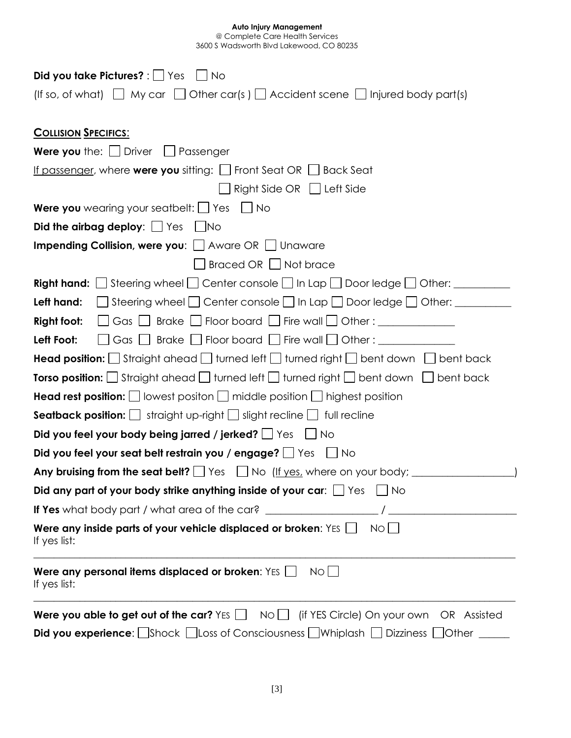| Did you take Pictures? : $\Box$ Yes $\Box$ No                                                                        |
|----------------------------------------------------------------------------------------------------------------------|
| (If so, of what) $\Box$ My car $\Box$ Other car(s) $\Box$ Accident scene $\Box$ Injured body part(s)                 |
|                                                                                                                      |
| <b>COLLISION SPECIFICS:</b>                                                                                          |
| <b>Were you</b> the: $\Box$ Driver $\Box$ Passenger                                                                  |
| <u>If passenger</u> , where <b>were you</b> sitting: $\Box$ Front Seat OR $\Box$ Back Seat                           |
| $\Box$ Right Side OR $\Box$ Left Side                                                                                |
| <b>Were you</b> wearing your seatbelt: $\Box$ Yes $\Box$ No                                                          |
| Did the airbag deploy: $\Box$ Yes $\Box$ No                                                                          |
| Impending Collision, were you: $\Box$ Aware OR $\Box$ Unaware                                                        |
| Braced OR Not brace                                                                                                  |
| <b>Right hand:</b> $\Box$ Steering wheel $\Box$ Center console $\Box$ In Lap $\Box$ Door ledge $\Box$ Other: $\Box$  |
| <b>Left hand:</b> $\Box$ Steering wheel $\Box$ Center console $\Box$ In Lap $\Box$ Door ledge $\Box$ Other: $\Box$   |
| $\Box$ Gas $\Box$ Brake $\Box$ Floor board $\Box$ Fire wall $\Box$ Other : ______________<br><b>Right foot:</b>      |
| Gas Brake Floor board Fire wall Other:<br>Left Foot:                                                                 |
| <b>Head position:</b> $\Box$ Straight ahead $\Box$ turned left $\Box$ turned right $\Box$ bent down $\Box$ bent back |
| <b>Torso position:</b> Straight ahead turned left turned right bent down $\Box$ bent back                            |
| <b>Head rest position:</b> $\Box$ lowest positon $\Box$ middle position $\Box$ highest position                      |
| <b>Seatback position:</b> $\Box$ straight up-right $\Box$ slight recline $\Box$ full recline                         |
| Did you feel your body being jarred / jerked? $\Box$ Yes $\Box$ No                                                   |
| Did you feel your seat belt restrain you / engage? $\Box$ Yes $\Box$ No                                              |
| Any bruising from the seat belt? $\Box$ Yes $\Box$ No (If yes, where on your body; $\Box$                            |
| Did any part of your body strike anything inside of your car: $\Box$ Yes<br>$ $ No                                   |
| If Yes what body part / what area of the car?                                                                        |
| Were any inside parts of your vehicle displaced or broken: $Yes \bigsqcup$<br>NO<br>If yes list:                     |
| Were any personal items displaced or broken: $YES$<br>NO<br>If yes list:                                             |
| Were you able to get out of the car? $Yes \bigsqcup$<br>$NO \Box$ (if YES Circle) On your own<br>OR Assisted         |
| <b>Did you experience:</b> Shock Lloss of Consciousness L Whiplash L Dizziness  <br>$\Box$ Other                     |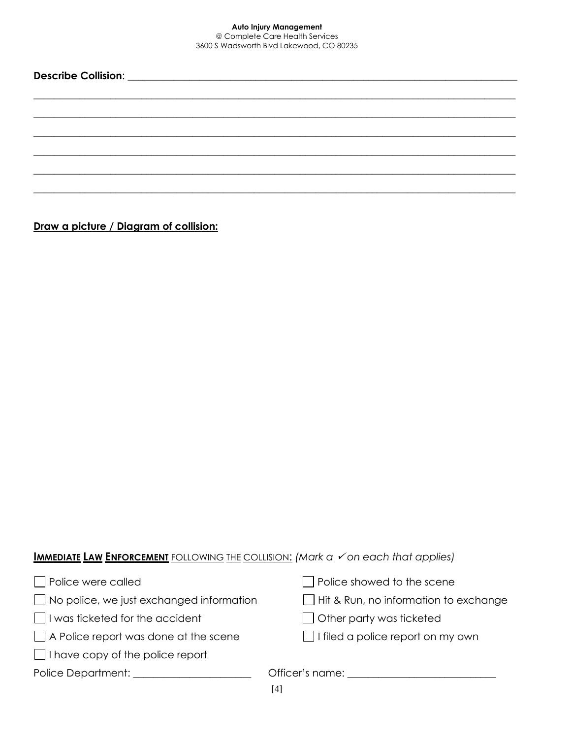**Describe Collision**: \_\_\_\_\_\_\_\_\_\_\_\_\_\_\_\_\_\_\_\_\_\_\_\_\_\_\_\_\_\_\_\_\_\_\_\_\_\_\_\_\_\_\_\_\_\_\_\_\_\_\_\_\_\_\_\_\_\_\_\_\_\_\_\_\_\_\_\_\_\_\_\_\_\_\_\_  $\_$  ,  $\_$  ,  $\_$  ,  $\_$  ,  $\_$  ,  $\_$  ,  $\_$  ,  $\_$  ,  $\_$  ,  $\_$  ,  $\_$  ,  $\_$  ,  $\_$  ,  $\_$  ,  $\_$  ,  $\_$  ,  $\_$  ,  $\_$  ,  $\_$  ,  $\_$  ,  $\_$  ,  $\_$  ,  $\_$  ,  $\_$  ,  $\_$  ,  $\_$  ,  $\_$  ,  $\_$  ,  $\_$  ,  $\_$  ,  $\_$  ,  $\_$  ,  $\_$  ,  $\_$  ,  $\_$  ,  $\_$  ,  $\_$  ,  $\_$  ,  $\_$  ,  $\_$  ,  $\_$  ,  $\_$  ,  $\_$  ,  $\_$  ,  $\_$  ,  $\_$  ,  $\_$  ,  $\_$  ,  $\_$  ,  $\_$  ,  $\_$  ,  $\_$  ,  $\_$  ,  $\_$  ,  $\_$  ,  $\_$  ,  $\_$  ,  $\_$  ,  $\_$  ,  $\_$  ,  $\_$  ,  $\_$  ,  $\_$  ,  $\_$  ,  $\_$  ,  $\_$  ,  $\_$  ,  $\_$  ,  $\_$  ,  $\_$  ,  $\_$  ,  $\_$  ,  $\_$  ,  $\_$  ,  $\_$  ,  $\_$  ,  $\_$  ,  $\_$  ,  $\_$  ,  $\_$  ,  $\_$  ,  $\_$  ,  $\_$  ,  $\_$  ,  $\_$  ,  $\_$  ,  $\_$  ,  $\_$  ,  $\_$  ,  $\_$  ,  $\_$  ,  $\_$  ,  $\_$  ,  $\_$  ,  $\_$  ,  $\_$  ,  $\_$  ,  $\_$  ,  $\_$  ,  $\_$  ,  $\_$  ,  $\_$  ,  $\_$  ,  $\_$  ,  $\_$  ,  $\_$  ,  $\_$  ,  $\_$  ,  $\_$  ,  $\_$  ,  $\_$  ,  $\_$  ,  $\_$  ,  $\_$  ,  $\_$  ,  $\_$  ,  $\_$  ,  $\_$  ,  $\_$  ,  $\_$  ,  $\_$  ,  $\_$  ,  $\_$  ,  $\_$  ,  $\_$  ,  $\_$  ,  $\_$  ,  $\_$  ,  $\_$  ,  $\_$  ,  $\_$  ,  $\_$  ,  $\_$  ,  $\_$  ,  $\_$  ,  $\_$  ,  $\_$  ,  $\_$  ,  $\_$  ,  $\_$  ,  $\_$  ,  $\_$  ,  $\_$  ,  $\_$  ,  $\_$  ,  $\_$  ,  $\_$  ,  $\_$  , \_\_\_\_\_\_\_\_\_\_\_\_\_\_\_\_\_\_\_\_\_\_\_\_\_\_\_\_\_\_\_\_\_\_\_\_\_\_\_\_\_\_\_\_\_\_\_\_\_\_\_\_\_\_\_\_\_\_\_\_\_\_\_\_\_\_\_\_\_\_\_\_\_\_\_\_\_\_\_\_\_\_\_\_\_\_\_\_\_\_\_\_\_\_ \_\_\_\_\_\_\_\_\_\_\_\_\_\_\_\_\_\_\_\_\_\_\_\_\_\_\_\_\_\_\_\_\_\_\_\_\_\_\_\_\_\_\_\_\_\_\_\_\_\_\_\_\_\_\_\_\_\_\_\_\_\_\_\_\_\_\_\_\_\_\_\_\_\_\_\_\_\_\_\_\_\_\_\_\_\_\_\_\_\_\_\_\_\_

**Draw a picture / Diagram of collision:**

## **IMMEDIATE LAW ENFORCEMENT** FOLLOWING THE COLLISION: *(Mark a* ✓ *on each that applies)*

| Police were called                              | $\Box$ Police showed to the scene            |
|-------------------------------------------------|----------------------------------------------|
| $\Box$ No police, we just exchanged information | $\Box$ Hit & Run, no information to exchange |
| I was ticketed for the accident                 | $\Box$ Other party was ticketed              |
| $\Box$ A Police report was done at the scene    | $\Box$ I filed a police report on my own     |
| $\Box$ I have copy of the police report         |                                              |
| Police Department:                              | Officer's name: _______                      |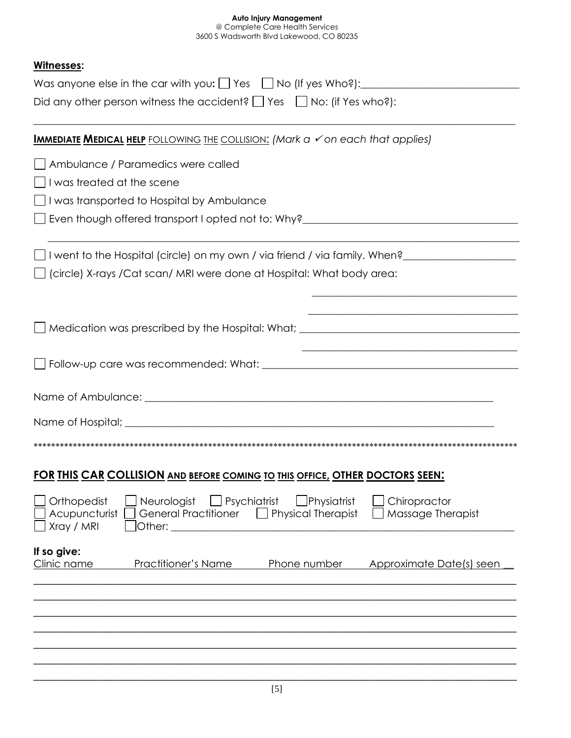#### **Auto Injury Management** @ Complete Care Health Services

3600 S Wadsworth Blvd Lakewood, CO 80235

## **Witnesses:**

| ,,,,,,,,,,,,<br>Did any other person witness the accident? $\Box$ Yes $\Box$ No: (if Yes who?):                                                                                                                                                                                                                                                                                                                                           |
|-------------------------------------------------------------------------------------------------------------------------------------------------------------------------------------------------------------------------------------------------------------------------------------------------------------------------------------------------------------------------------------------------------------------------------------------|
|                                                                                                                                                                                                                                                                                                                                                                                                                                           |
| <b>IMMEDIATE MEDICAL HELP</b> FOLLOWING THE COLLISION: (Mark a √on each that applies)                                                                                                                                                                                                                                                                                                                                                     |
| Ambulance / Paramedics were called                                                                                                                                                                                                                                                                                                                                                                                                        |
| I was treated at the scene                                                                                                                                                                                                                                                                                                                                                                                                                |
| I was transported to Hospital by Ambulance                                                                                                                                                                                                                                                                                                                                                                                                |
| Even though offered transport I opted not to: Why?______________________________                                                                                                                                                                                                                                                                                                                                                          |
| I went to the Hospital (circle) on my own / via friend / via family. When?                                                                                                                                                                                                                                                                                                                                                                |
| (circle) X-rays / Cat scan/ MRI were done at Hospital: What body area:                                                                                                                                                                                                                                                                                                                                                                    |
|                                                                                                                                                                                                                                                                                                                                                                                                                                           |
| Medication was prescribed by the Hospital: What; ________________________________                                                                                                                                                                                                                                                                                                                                                         |
|                                                                                                                                                                                                                                                                                                                                                                                                                                           |
|                                                                                                                                                                                                                                                                                                                                                                                                                                           |
|                                                                                                                                                                                                                                                                                                                                                                                                                                           |
|                                                                                                                                                                                                                                                                                                                                                                                                                                           |
| <u>FOR THIS CAR COLLISION AND BEFORE COMING TO THIS OFFICE, OTHER DOCTORS SEEN:</u>                                                                                                                                                                                                                                                                                                                                                       |
| $\Box$ Psychiatrist<br>$\Box$ Physiatrist<br>Orthopedist<br>Neurologist<br>Chiropractor<br>Acupuncturist<br><b>General Practitioner</b><br>$\Box$ Physical Therapist<br>Massage Therapist<br>Xray / MRI<br>Other: The Contract of the Contract of the Contract of the Contract of the Contract of the Contract of the Contract of the Contract of the Contract of the Contract of the Contract of the Contract of the Contract of the Con |
| If so give:<br>Clinic name<br><b>Practitioner's Name</b><br>Phone number<br>Approximate Date(s) seen                                                                                                                                                                                                                                                                                                                                      |
|                                                                                                                                                                                                                                                                                                                                                                                                                                           |
|                                                                                                                                                                                                                                                                                                                                                                                                                                           |
|                                                                                                                                                                                                                                                                                                                                                                                                                                           |
|                                                                                                                                                                                                                                                                                                                                                                                                                                           |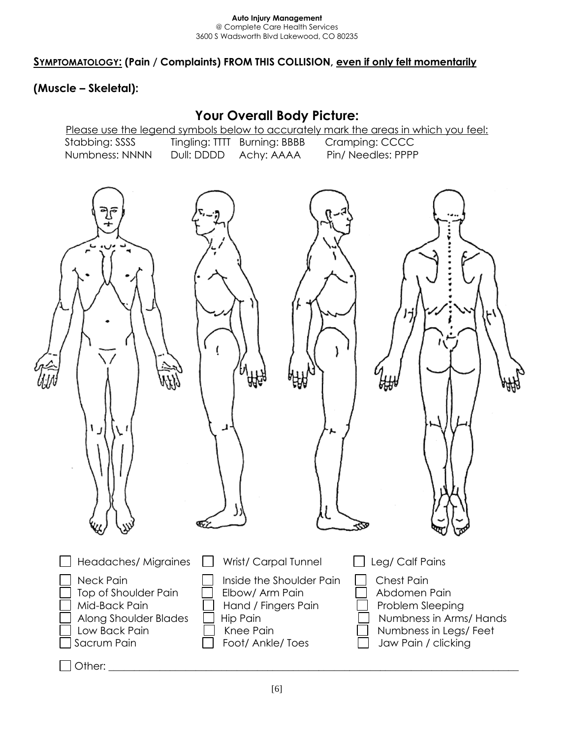**SYMPTOMATOLOGY: (Pain / Complaints) FROM THIS COLLISION, even if only felt momentarily**

## **(Muscle – Skeletal):**

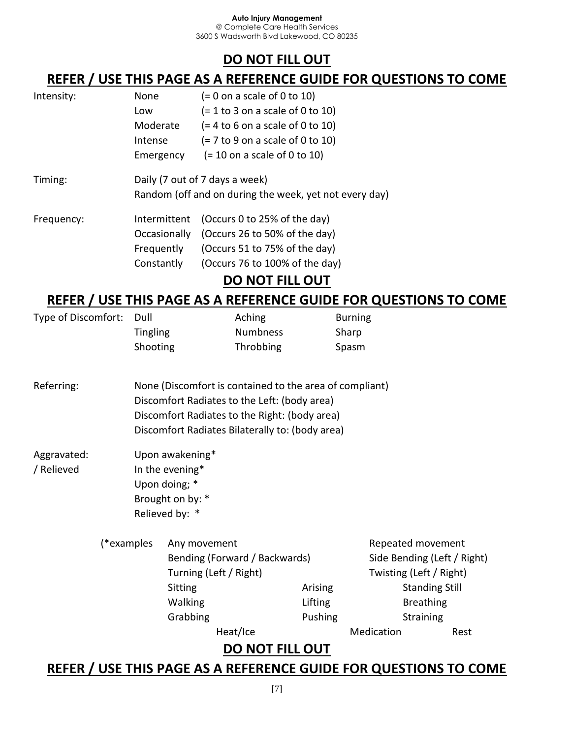# **DO NOT FILL OUT**

# **REFER / USE THIS PAGE AS A REFERENCE GUIDE FOR QUESTIONS TO COME**

| Intensity: | None         | $(= 0$ on a scale of 0 to 10)                                 |  |  |  |
|------------|--------------|---------------------------------------------------------------|--|--|--|
|            | Low          | $(= 1 to 3 on a scale of 0 to 10)$                            |  |  |  |
|            | Moderate     | $(= 4 \text{ to } 6 \text{ on a scale of } 0 \text{ to } 10)$ |  |  |  |
|            | Intense      | $(= 7 to 9$ on a scale of 0 to 10)                            |  |  |  |
|            | Emergency    | $(= 10$ on a scale of 0 to 10)                                |  |  |  |
| Timing:    |              | Daily (7 out of 7 days a week)                                |  |  |  |
|            |              | Random (off and on during the week, yet not every day)        |  |  |  |
| Frequency: | Intermittent | (Occurs 0 to 25% of the day)                                  |  |  |  |
|            | Occasionally | (Occurs 26 to 50% of the day)                                 |  |  |  |
|            | Frequently   | (Occurs 51 to 75% of the day)                                 |  |  |  |
|            | Constantly   | (Occurs 76 to 100% of the day)                                |  |  |  |
|            |              |                                                               |  |  |  |

# **DO NOT FILL OUT**

# **REFER / USE THIS PAGE AS A REFERENCE GUIDE FOR QUESTIONS TO COME**

| Type of Discomfort:                                                                           | Dull                                            |                               | Aching                                                  |         | <b>Burning</b>          |                                                                  |  |
|-----------------------------------------------------------------------------------------------|-------------------------------------------------|-------------------------------|---------------------------------------------------------|---------|-------------------------|------------------------------------------------------------------|--|
|                                                                                               | <b>Tingling</b>                                 |                               | <b>Numbness</b>                                         |         | Sharp                   |                                                                  |  |
|                                                                                               | Shooting                                        |                               | Throbbing                                               |         | Spasm                   |                                                                  |  |
| Referring:                                                                                    |                                                 |                               | None (Discomfort is contained to the area of compliant) |         |                         |                                                                  |  |
| Discomfort Radiates to the Left: (body area)<br>Discomfort Radiates to the Right: (body area) |                                                 |                               |                                                         |         |                         |                                                                  |  |
|                                                                                               |                                                 |                               |                                                         |         |                         |                                                                  |  |
|                                                                                               | Discomfort Radiates Bilaterally to: (body area) |                               |                                                         |         |                         |                                                                  |  |
| Aggravated:                                                                                   |                                                 | Upon awakening*               |                                                         |         |                         |                                                                  |  |
| / Relieved                                                                                    | In the evening*                                 |                               |                                                         |         |                         |                                                                  |  |
|                                                                                               | Upon doing; *                                   |                               |                                                         |         |                         |                                                                  |  |
|                                                                                               |                                                 | Brought on by: *              |                                                         |         |                         |                                                                  |  |
|                                                                                               |                                                 | Relieved by: *                |                                                         |         |                         |                                                                  |  |
| (*examples                                                                                    |                                                 | Any movement                  |                                                         |         | Repeated movement       |                                                                  |  |
|                                                                                               |                                                 | Bending (Forward / Backwards) |                                                         |         |                         | Side Bending (Left / Right)                                      |  |
|                                                                                               |                                                 | Turning (Left / Right)        |                                                         |         | Twisting (Left / Right) |                                                                  |  |
|                                                                                               |                                                 | <b>Sitting</b>                |                                                         | Arising |                         | <b>Standing Still</b>                                            |  |
|                                                                                               |                                                 | Walking                       |                                                         | Lifting |                         | <b>Breathing</b>                                                 |  |
|                                                                                               |                                                 | Grabbing                      |                                                         | Pushing |                         | Straining                                                        |  |
|                                                                                               |                                                 |                               | Heat/Ice                                                |         | Medication              | Rest                                                             |  |
|                                                                                               |                                                 |                               | <b>DO NOT FILL OUT</b>                                  |         |                         |                                                                  |  |
|                                                                                               |                                                 |                               |                                                         |         |                         | REFER / USE THIS PAGE AS A REFERENCE GUIDE FOR QUESTIONS TO COME |  |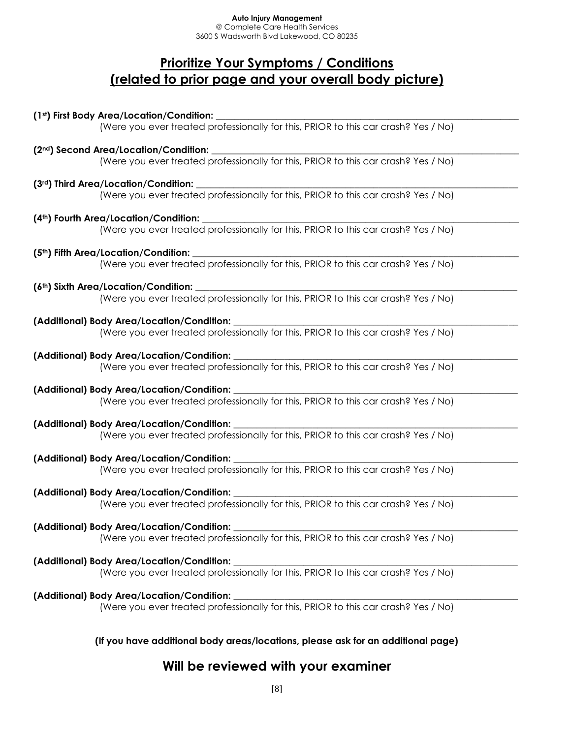@ Complete Care Health Services 3600 S Wadsworth Blvd Lakewood, CO 80235

# **Prioritize Your Symptoms / Conditions (related to prior page and your overall body picture)**

**(1st) First Body Area/Location/Condition:** \_\_\_\_\_\_\_\_\_\_\_\_\_\_\_\_\_\_\_\_\_\_\_\_\_\_\_\_\_\_\_\_\_\_\_\_\_\_\_\_\_\_\_\_\_\_\_\_\_\_\_\_\_\_\_\_\_\_\_\_\_\_\_\_\_ (Were you ever treated professionally for this, PRIOR to this car crash? Yes / No) **(2nd) Second Area/Location/Condition:** \_\_\_\_\_\_\_\_\_\_\_\_\_\_\_\_\_\_\_\_\_\_\_\_\_\_\_\_\_\_\_\_\_\_\_\_\_\_\_\_\_\_\_\_\_\_\_\_\_\_\_\_\_\_\_\_\_\_\_\_\_\_\_\_\_\_ (Were you ever treated professionally for this, PRIOR to this car crash? Yes / No) **(3rd) Third Area/Location/Condition:** \_\_\_\_\_\_\_\_\_\_\_\_\_\_\_\_\_\_\_\_\_\_\_\_\_\_\_\_\_\_\_\_\_\_\_\_\_\_\_\_\_\_\_\_\_\_\_\_\_\_\_\_\_\_\_\_\_\_\_\_\_\_\_\_\_\_\_\_\_ (Were you ever treated professionally for this, PRIOR to this car crash? Yes / No) **(4th) Fourth Area/Location/Condition:** \_\_\_\_\_\_\_\_\_\_\_\_\_\_\_\_\_\_\_\_\_\_\_\_\_\_\_\_\_\_\_\_\_\_\_\_\_\_\_\_\_\_\_\_\_\_\_\_\_\_\_\_\_\_\_\_\_\_\_\_\_\_\_\_\_\_\_\_ (Were you ever treated professionally for this, PRIOR to this car crash? Yes / No) **(5th) Fifth Area/Location/Condition:** \_\_\_\_\_\_\_\_\_\_\_\_\_\_\_\_\_\_\_\_\_\_\_\_\_\_\_\_\_\_\_\_\_\_\_\_\_\_\_\_\_\_\_\_\_\_\_\_\_\_\_\_\_\_\_\_\_\_\_\_\_\_\_\_\_\_\_\_\_\_ (Were you ever treated professionally for this, PRIOR to this car crash? Yes / No) **(6th) Sixth Area/Location/Condition:** \_\_\_\_\_\_\_\_\_\_\_\_\_\_\_\_\_\_\_\_\_\_\_\_\_\_\_\_\_\_\_\_\_\_\_\_\_\_\_\_\_\_\_\_\_\_\_\_\_\_\_\_\_\_\_\_\_\_\_\_\_\_\_\_\_\_\_\_\_ (Were you ever treated professionally for this, PRIOR to this car crash? Yes / No) **(Additional) Body Area/Location/Condition:** \_\_\_\_\_\_\_\_\_\_\_\_\_\_\_\_\_\_\_\_\_\_\_\_\_\_\_\_\_\_\_\_\_\_\_\_\_\_\_\_\_\_\_\_\_\_\_\_\_\_\_\_\_\_\_\_\_\_\_\_\_ (Were you ever treated professionally for this, PRIOR to this car crash? Yes / No) **(Additional) Body Area/Location/Condition:** \_\_\_\_\_\_\_\_\_\_\_\_\_\_\_\_\_\_\_\_\_\_\_\_\_\_\_\_\_\_\_\_\_\_\_\_\_\_\_\_\_\_\_\_\_\_\_\_\_\_\_\_\_\_\_\_\_\_\_\_\_ (Were you ever treated professionally for this, PRIOR to this car crash? Yes / No) **(Additional) Body Area/Location/Condition:** \_\_\_\_\_\_\_\_\_\_\_\_\_\_\_\_\_\_\_\_\_\_\_\_\_\_\_\_\_\_\_\_\_\_\_\_\_\_\_\_\_\_\_\_\_\_\_\_\_\_\_\_\_\_\_\_\_\_\_\_\_ (Were you ever treated professionally for this, PRIOR to this car crash? Yes / No) **(Additional) Body Area/Location/Condition:** \_\_\_\_\_\_\_\_\_\_\_\_\_\_\_\_\_\_\_\_\_\_\_\_\_\_\_\_\_\_\_\_\_\_\_\_\_\_\_\_\_\_\_\_\_\_\_\_\_\_\_\_\_\_\_\_\_\_\_\_\_ (Were you ever treated professionally for this, PRIOR to this car crash? Yes / No) **(Additional) Body Area/Location/Condition:** \_\_\_\_\_\_\_\_\_\_\_\_\_\_\_\_\_\_\_\_\_\_\_\_\_\_\_\_\_\_\_\_\_\_\_\_\_\_\_\_\_\_\_\_\_\_\_\_\_\_\_\_\_\_\_\_\_\_\_\_\_ (Were you ever treated professionally for this, PRIOR to this car crash? Yes / No) **(Additional) Body Area/Location/Condition:** \_\_\_\_\_\_\_\_\_\_\_\_\_\_\_\_\_\_\_\_\_\_\_\_\_\_\_\_\_\_\_\_\_\_\_\_\_\_\_\_\_\_\_\_\_\_\_\_\_\_\_\_\_\_\_\_\_\_\_\_\_ (Were you ever treated professionally for this, PRIOR to this car crash? Yes / No) **(Additional) Body Area/Location/Condition:** \_\_\_\_\_\_\_\_\_\_\_\_\_\_\_\_\_\_\_\_\_\_\_\_\_\_\_\_\_\_\_\_\_\_\_\_\_\_\_\_\_\_\_\_\_\_\_\_\_\_\_\_\_\_\_\_\_\_\_\_\_ (Were you ever treated professionally for this, PRIOR to this car crash? Yes / No) **(Additional) Body Area/Location/Condition:** \_\_\_\_\_\_\_\_\_\_\_\_\_\_\_\_\_\_\_\_\_\_\_\_\_\_\_\_\_\_\_\_\_\_\_\_\_\_\_\_\_\_\_\_\_\_\_\_\_\_\_\_\_\_\_\_\_\_\_\_\_ (Were you ever treated professionally for this, PRIOR to this car crash? Yes / No) **(Additional) Body Area/Location/Condition:** \_\_\_\_\_\_\_\_\_\_\_\_\_\_\_\_\_\_\_\_\_\_\_\_\_\_\_\_\_\_\_\_\_\_\_\_\_\_\_\_\_\_\_\_\_\_\_\_\_\_\_\_\_\_\_\_\_\_\_\_\_ (Were you ever treated professionally for this, PRIOR to this car crash? Yes / No) **(If you have additional body areas/locations, please ask for an additional page)**

## **Will be reviewed with your examiner**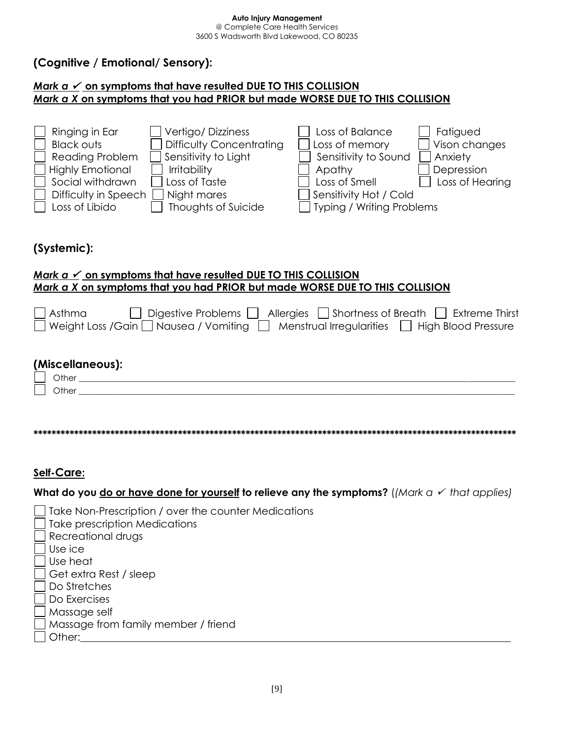## **(Cognitive / Emotional/ Sensory):**

#### *Mark a* ✓ **on symptoms that have resulted DUE TO THIS COLLISION** *Mark a X* **on symptoms that you had PRIOR but made WORSE DUE TO THIS COLLISION**



## **(Systemic):**

#### *Mark a* ✓ **on symptoms that have resulted DUE TO THIS COLLISION** *Mark a X* **on symptoms that you had PRIOR but made WORSE DUE TO THIS COLLISION**

| $\Box$ Digestive Problems $\Box$ Allergies $\Box$ Shortness of Breath $\Box$ Extreme Thirst<br>Asthma<br>□ Weight Loss / Gain □ Nausea / Vomiting □ Menstrual Irregularities □ High Blood Pressure |
|----------------------------------------------------------------------------------------------------------------------------------------------------------------------------------------------------|
|                                                                                                                                                                                                    |
| (Miscellaneous):                                                                                                                                                                                   |
| Other                                                                                                                                                                                              |
| Other                                                                                                                                                                                              |
|                                                                                                                                                                                                    |
|                                                                                                                                                                                                    |
|                                                                                                                                                                                                    |

## **Self-Care:**

**What do you do or have done for yourself to relieve any the symptoms?** (*(Mark a* ✓ *that applies)*

| Take prescription Medications<br>Recreational drugs |  |
|-----------------------------------------------------|--|
|                                                     |  |
|                                                     |  |
| Use ice                                             |  |
| Use heat                                            |  |
| Get extra Rest / sleep                              |  |
| Do Stretches                                        |  |
| Do Exercises                                        |  |
| Massage self                                        |  |
| Massage from family member / friend                 |  |
| Other:                                              |  |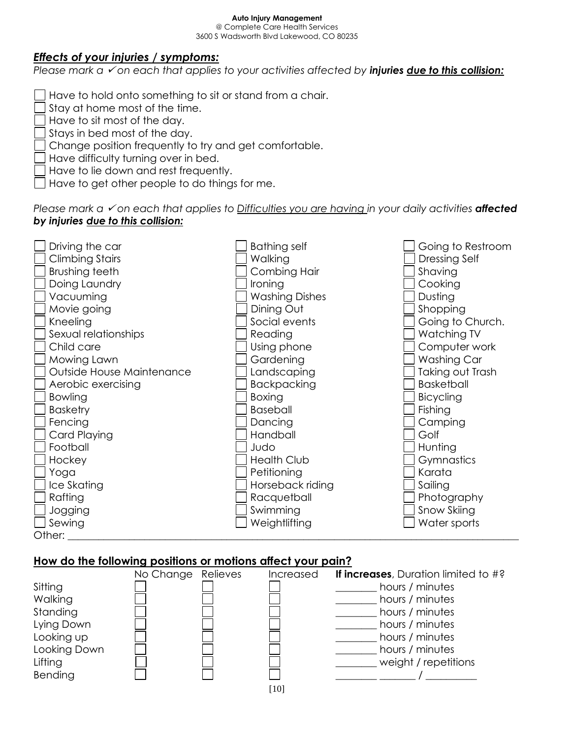@ Complete Care Health Services 3600 S Wadsworth Blvd Lakewood, CO 80235

#### *Effects of your injuries / symptoms:*

*Please mark a*  <del>✓</del> *on each that applies to your activities affected by <i>injuries due to this collision:* 

Have to hold onto something to sit or stand from a chair.

Stay at home most of the time.

Have to sit most of the day.

Stays in bed most of the day.

Change position frequently to try and get comfortable.

Have difficulty turning over in bed.

Have to lie down and rest frequently.

Have to get other people to do things for me.

#### *Please mark a*  <del>✓</del> *on each that applies to Difficulties you are having in your daily activities* **affected** *by injuries due to this collision:*



#### **How do the following positions or motions affect your pain?**

|              | No Change Relieves | Increased | If increases, Duration limited to #? |
|--------------|--------------------|-----------|--------------------------------------|
| Sitting      |                    |           | hours / minutes                      |
| Walking      |                    |           | hours / minutes                      |
| Standing     |                    |           | hours / minutes                      |
| Lying Down   |                    |           | hours / minutes                      |
| Looking up   |                    |           | hours / minutes                      |
| Looking Down |                    |           | hours / minutes                      |
| Lifting      |                    |           | weight / repetitions                 |
| Bending      |                    |           |                                      |
|              |                    | [10]      |                                      |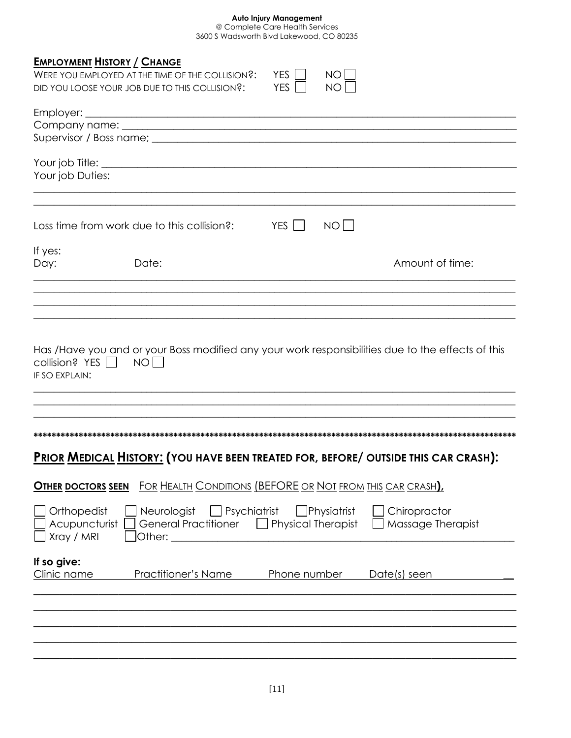| <b>EMPLOYMENT HISTORY / CHANGE</b><br>YES    <br>NO L<br>WERE YOU EMPLOYED AT THE TIME OF THE COLLISION?:<br>YES    <br>NO I<br>DID YOU LOOSE YOUR JOB DUE TO THIS COLLISION?:              |
|---------------------------------------------------------------------------------------------------------------------------------------------------------------------------------------------|
|                                                                                                                                                                                             |
| Your job Duties:                                                                                                                                                                            |
| NOT<br>Loss time from work due to this collision?: YES                                                                                                                                      |
| If yes:<br>Amount of time:<br>Day:<br>Date:                                                                                                                                                 |
|                                                                                                                                                                                             |
| Has /Have you and or your Boss modified any your work responsibilities due to the effects of this<br>collision? YES NO<br>IF SO EXPLAIN:                                                    |
| <b>PRIOR MEDICAL HISTORY: (YOU HAVE BEEN TREATED FOR, BEFORE/ OUTSIDE THIS CAR CRASH):</b>                                                                                                  |
| <b>OTHER DOCTORS SEEN</b> FOR HEALTH CONDITIONS (BEFORE OR NOT FROM THIS CAR CRASH)                                                                                                         |
| Neurologist Psychiatrist<br>Orthopedist<br>Physiatrist<br>Chiropractor<br>Acupuncturist<br>General Practitioner  <br><b>Physical Therapist</b><br>Massage Therapist<br>Xray / MRI<br>Other: |
| If so give:<br>Clinic name<br>Practitioner's Name<br>Phone number<br>Date(s) seen                                                                                                           |
|                                                                                                                                                                                             |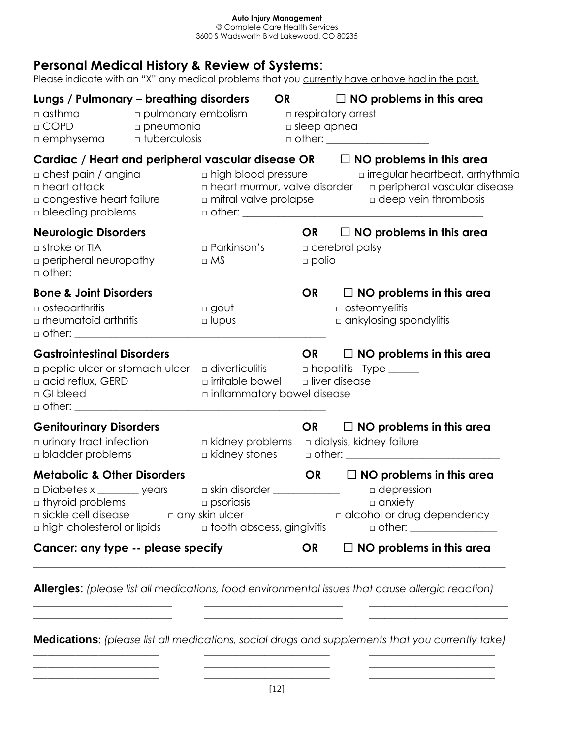# **Personal Medical History & Review of Systems**:

Please indicate with an "X" any medical problems that you currently have or have had in the past.

| Lungs / Pulmonary - breathing disorders<br>$\Box$ asthma<br>$\Box$ pulmonary embolism<br>$\Box$ COPD<br>pneumonia<br><b>n</b> emphysema <b>b</b> tuberculosis                                            |                                                                                               | $\Box$ respiratory arrest<br>$\Box$ sleep apnea | OR $\Box$ NO problems in this area<br>□ other: _____________________                                                                                                                         |
|----------------------------------------------------------------------------------------------------------------------------------------------------------------------------------------------------------|-----------------------------------------------------------------------------------------------|-------------------------------------------------|----------------------------------------------------------------------------------------------------------------------------------------------------------------------------------------------|
| Cardiac / Heart and peripheral vascular disease $OR$ $\Box$ NO problems in this area<br>$\Box$ chest pain / angina<br>$\Box$ heart attack<br>$\Box$ congestive heart failure<br>$\Box$ bleeding problems |                                                                                               |                                                 | □ high blood pressure □ rregular heartbeat, arrhythmia<br>$\Box$ heart murmur, valve disorder $\Box$ peripheral vascular disease<br>$\Box$ mitral valve prolapse $\Box$ deep vein thrombosis |
| <b>Neurologic Disorders</b><br>$\Box$ stroke or TIA<br>$\Box$ peripheral neuropathy<br>$\Box$ other: $\Box$                                                                                              | □ Parkinson's<br>$\Box$ MS                                                                    | $\Box$ polio                                    | OR $\Box$ NO problems in this area<br>$\Box$ cerebral palsy                                                                                                                                  |
| <b>Bone &amp; Joint Disorders</b><br>$\Box$ osteoarthritis<br>$\Box$ rheumatoid arthritis                                                                                                                | □ gout<br>$\square$ lupus                                                                     | OR                                              | $\Box$ NO problems in this area<br>$\Box$ osteomyelitis<br>$\Box$ ankylosing spondylitis                                                                                                     |
| <b>Gastrointestinal Disorders</b><br>$\Box$ peptic ulcer or stomach ulcer $\Box$ diverticulitis $\Box$ hepatitis - Type _____<br>$\Box$ acid reflux, GERD<br>□ GI bleed                                  | $\Box$ irritable bowel $\Box$ liver disease<br>$\Box$ inflammatory bowel disease              |                                                 | OR $\Box$ NO problems in this area                                                                                                                                                           |
| <b>Genitourinary Disorders</b><br>$\Box$ urinary tract infection<br>$\Box$ bladder problems                                                                                                              | $\Box$ kidney problems<br>$\Box$ kidney stones                                                |                                                 | OR $\Box$ NO problems in this area<br>a dialysis, kidney failure                                                                                                                             |
| <b>Metabolic &amp; Other Disorders</b><br>$\square$ Diabetes x ________ years<br>$\Box$ thyroid problems<br>$\Box$ sickle cell disease $\Box$ any skin ulcer<br>$\Box$ high cholesterol or lipids        | $\Box$ skin disorder ______________<br>$\Box$ psoriasis<br><b>n</b> tooth abscess, gingivitis |                                                 | OR $\Box$ NO problems in this area<br>$\Box$ depression<br>$\Box$ anxiety<br>a alcohol or drug dependency                                                                                    |
| Cancer: any type -- please specify                                                                                                                                                                       |                                                                                               | <b>OR</b>                                       | $\Box$ NO problems in this area                                                                                                                                                              |

**Allergies**: *(please list all medications, food environmental issues that cause allergic reaction)*

**Medications**: *(please list all medications, social drugs and supplements that you currently take)* \_\_\_\_\_\_\_\_\_\_\_\_\_\_\_\_\_\_\_\_\_\_\_\_\_\_\_ \_\_\_\_\_\_\_\_\_\_\_\_\_\_\_\_\_\_\_\_\_\_\_\_\_\_\_ \_\_\_\_\_\_\_\_\_\_\_\_\_\_\_\_\_\_\_\_\_\_\_\_\_\_\_

\_\_\_\_\_\_\_\_\_\_\_\_\_\_\_\_\_\_\_\_\_\_\_\_\_\_\_ \_\_\_\_\_\_\_\_\_\_\_\_\_\_\_\_\_\_\_\_\_\_\_\_\_\_\_ \_\_\_\_\_\_\_\_\_\_\_\_\_\_\_\_\_\_\_\_\_\_\_\_\_\_\_ \_\_\_\_\_\_\_\_\_\_\_\_\_\_\_\_\_\_\_\_\_\_\_\_\_\_\_ \_\_\_\_\_\_\_\_\_\_\_\_\_\_\_\_\_\_\_\_\_\_\_\_\_\_\_ \_\_\_\_\_\_\_\_\_\_\_\_\_\_\_\_\_\_\_\_\_\_\_\_\_\_\_

\_\_\_\_\_\_\_\_\_\_\_\_\_\_\_\_\_\_\_\_\_\_\_\_\_\_\_ \_\_\_\_\_\_\_\_\_\_\_\_\_\_\_\_\_\_\_\_\_\_\_\_\_\_\_ \_\_\_\_\_\_\_\_\_\_\_\_\_\_\_\_\_\_\_\_\_\_\_\_\_\_\_ \_\_\_\_\_\_\_\_\_\_\_\_\_\_\_\_\_\_\_\_\_\_\_\_\_\_\_ \_\_\_\_\_\_\_\_\_\_\_\_\_\_\_\_\_\_\_\_\_\_\_\_\_\_\_ \_\_\_\_\_\_\_\_\_\_\_\_\_\_\_\_\_\_\_\_\_\_\_\_\_\_\_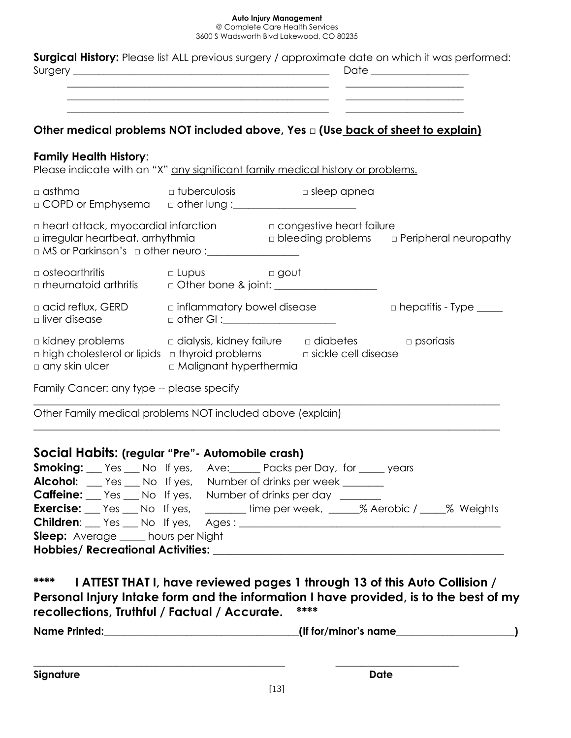@ Complete Care Health Services 3600 S Wadsworth Blvd Lakewood, CO 80235

|                                                                                                                                                                                                                                                                                                                                                                                                                                                                                                                                                                                                                                                                                                                                     | <u> 2000 - 2000 - 2000 - 2000 - 2000 - 2000 - 2000 - 2000 - 2000 - 2000 - 2000 - 2000 - 2000 - 2000 - 2000 - 200</u> |                                                                            | <b>Surgical History:</b> Please list ALL previous surgery / approximate date on which it was performed: |
|-------------------------------------------------------------------------------------------------------------------------------------------------------------------------------------------------------------------------------------------------------------------------------------------------------------------------------------------------------------------------------------------------------------------------------------------------------------------------------------------------------------------------------------------------------------------------------------------------------------------------------------------------------------------------------------------------------------------------------------|----------------------------------------------------------------------------------------------------------------------|----------------------------------------------------------------------------|---------------------------------------------------------------------------------------------------------|
| Other medical problems NOT included above, Yes a (Use back of sheet to explain)                                                                                                                                                                                                                                                                                                                                                                                                                                                                                                                                                                                                                                                     |                                                                                                                      |                                                                            |                                                                                                         |
| <b>Family Health History:</b><br>Please indicate with an "X" any significant family medical history or problems.                                                                                                                                                                                                                                                                                                                                                                                                                                                                                                                                                                                                                    |                                                                                                                      |                                                                            |                                                                                                         |
| $\Box$ asthma<br>OCOPD or Emphysema and ther lung : compared to COPD or Emphysema                                                                                                                                                                                                                                                                                                                                                                                                                                                                                                                                                                                                                                                   |                                                                                                                      | $\square$ tuberculosis $\square$ sleep apnea                               |                                                                                                         |
| $\Box$ heart attack, myocardial infarction $\Box$ congestive heart failure<br>$\square$ irregular heartbeat, arrhythmia                                                                                                                                                                                                                                                                                                                                                                                                                                                                                                                                                                                                             |                                                                                                                      |                                                                            | $\Box$ bleeding problems $\Box$ Peripheral neuropathy                                                   |
| $\Box$ osteoarthritis<br>□ rheumatoid arthritis □ Other bone & joint: <u>■ ■</u>                                                                                                                                                                                                                                                                                                                                                                                                                                                                                                                                                                                                                                                    | D Lupus D gout                                                                                                       |                                                                            |                                                                                                         |
| $\Box$ acid reflux, GERD $\Box$ inflammatory bowel disease<br>$\square$ liver disease                                                                                                                                                                                                                                                                                                                                                                                                                                                                                                                                                                                                                                               | □ other GI :_____________________                                                                                    |                                                                            | $\square$ hepatitis - Type $\_\_$                                                                       |
| $\Box$ kidney problems $\Box$ dialysis, kidney failure $\Box$ diabetes $\Box$ psoriasis<br>$\Box$ high cholesterol or lipids $\Box$ thyroid problems $\Box$ sickle cell disease<br>$\square$ any skin ulcer                                                                                                                                                                                                                                                                                                                                                                                                                                                                                                                         | <b>D</b> Malignant hyperthermia                                                                                      |                                                                            |                                                                                                         |
| Family Cancer: any type -- please specify                                                                                                                                                                                                                                                                                                                                                                                                                                                                                                                                                                                                                                                                                           |                                                                                                                      |                                                                            |                                                                                                         |
| Other Family medical problems NOT included above (explain)                                                                                                                                                                                                                                                                                                                                                                                                                                                                                                                                                                                                                                                                          |                                                                                                                      |                                                                            |                                                                                                         |
| Social Habits: (regular "Pre" - Automobile crash)<br><b>Smoking:</b> Yes __ No If yes, Ave: ____ Packs per Day, for ____ years<br><b>Alcohol:</b> <u>Canacceptes</u> No If yes, Number of drinks per week <u>Community</u><br><b>Caffeine:</b> Yes No If yes, Number of drinks per day<br><b>Exercise:</b> Yes No If yes, _______ time per week, ______% Aerobic / ____% Weights<br>Children: Yes No If yes, Ages: 100 No. 100 Ages: 100 No. 100 Ages: 100 No. 100 No. 100 No. 100 No. 100 No. 100 No. 100 No. 100 No. 100 No. 100 No. 100 No. 100 No. 100 No. 100 No. 100 No. 100 No. 100 No. 100 No. 100 No. 100<br>Sleep: Average ____ hours per Night<br>Hobbies/ Recreational Activities: National Section 2014 12:30 and 2014 |                                                                                                                      |                                                                            |                                                                                                         |
| ****                                                                                                                                                                                                                                                                                                                                                                                                                                                                                                                                                                                                                                                                                                                                |                                                                                                                      | I ATTEST THAT I, have reviewed pages 1 through 13 of this Auto Collision / | Personal Injury Intake form and the information I have provided, is to the best of my                   |

**recollections, Truthful / Factual / Accurate. \*\*\*\***

| <b>Name Printed:</b> | (If for/minor's name) |
|----------------------|-----------------------|
|                      |                       |

**Signature Date** 

**\_\_\_\_\_\_\_\_\_\_\_\_\_\_\_\_\_\_\_\_\_\_\_\_\_\_\_\_\_\_\_\_\_\_\_\_\_\_\_\_\_\_\_\_\_\_\_\_\_ \_\_\_\_\_\_\_\_\_\_\_\_\_\_\_\_\_\_\_\_\_\_\_\_**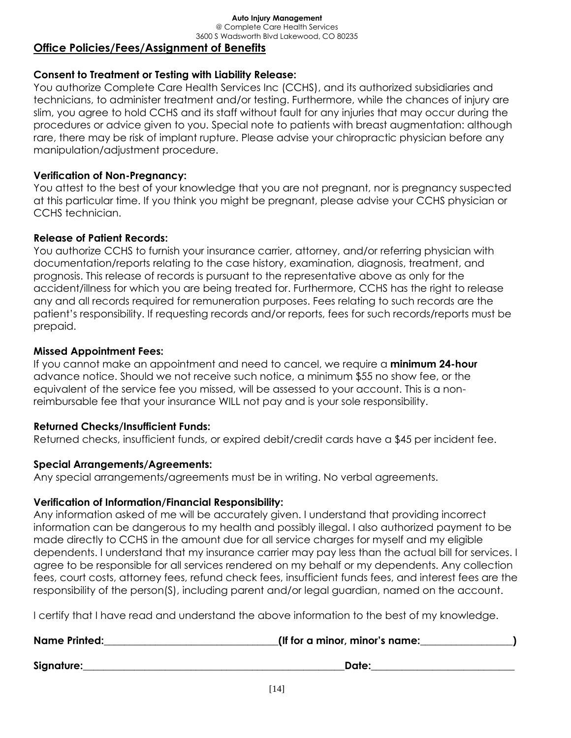@ Complete Care Health Services 3600 S Wadsworth Blvd Lakewood, CO 80235

## **Office Policies/Fees/Assignment of Benefits**

## **Consent to Treatment or Testing with Liability Release:**

You authorize Complete Care Health Services Inc (CCHS), and its authorized subsidiaries and technicians, to administer treatment and/or testing. Furthermore, while the chances of injury are slim, you agree to hold CCHS and its staff without fault for any injuries that may occur during the procedures or advice given to you. Special note to patients with breast augmentation: although rare, there may be risk of implant rupture. Please advise your chiropractic physician before any manipulation/adjustment procedure.

## **Verification of Non-Pregnancy:**

You attest to the best of your knowledge that you are not pregnant, nor is pregnancy suspected at this particular time. If you think you might be pregnant, please advise your CCHS physician or CCHS technician.

#### **Release of Patient Records:**

You authorize CCHS to furnish your insurance carrier, attorney, and/or referring physician with documentation/reports relating to the case history, examination, diagnosis, treatment, and prognosis. This release of records is pursuant to the representative above as only for the accident/illness for which you are being treated for. Furthermore, CCHS has the right to release any and all records required for remuneration purposes. Fees relating to such records are the patient's responsibility. If requesting records and/or reports, fees for such records/reports must be prepaid.

#### **Missed Appointment Fees:**

If you cannot make an appointment and need to cancel, we require a **minimum 24-hour** advance notice. Should we not receive such notice, a minimum \$55 no show fee, or the equivalent of the service fee you missed, will be assessed to your account. This is a nonreimbursable fee that your insurance WILL not pay and is your sole responsibility.

#### **Returned Checks/Insufficient Funds:**

Returned checks, insufficient funds, or expired debit/credit cards have a \$45 per incident fee.

## **Special Arrangements/Agreements:**

Any special arrangements/agreements must be in writing. No verbal agreements.

## **Verification of Information/Financial Responsibility:**

Any information asked of me will be accurately given. I understand that providing incorrect information can be dangerous to my health and possibly illegal. I also authorized payment to be made directly to CCHS in the amount due for all service charges for myself and my eligible dependents. I understand that my insurance carrier may pay less than the actual bill for services. I agree to be responsible for all services rendered on my behalf or my dependents. Any collection fees, court costs, attorney fees, refund check fees, insufficient funds fees, and interest fees are the responsibility of the person(S), including parent and/or legal guardian, named on the account.

I certify that I have read and understand the above information to the best of my knowledge.

| <b>Name Printed:</b> | (If for a minor, minor's name: |
|----------------------|--------------------------------|
| Signature:           | Date:                          |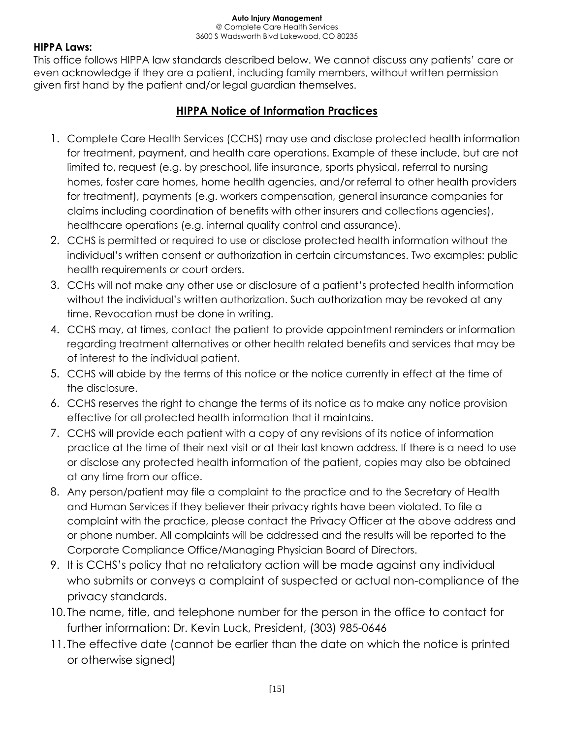@ Complete Care Health Services 3600 S Wadsworth Blvd Lakewood, CO 80235

#### **HIPPA Laws:**

This office follows HIPPA law standards described below. We cannot discuss any patients' care or even acknowledge if they are a patient, including family members, without written permission given first hand by the patient and/or legal guardian themselves.

## **HIPPA Notice of Information Practices**

- 1. Complete Care Health Services (CCHS) may use and disclose protected health information for treatment, payment, and health care operations. Example of these include, but are not limited to, request (e.g. by preschool, life insurance, sports physical, referral to nursing homes, foster care homes, home health agencies, and/or referral to other health providers for treatment), payments (e.g. workers compensation, general insurance companies for claims including coordination of benefits with other insurers and collections agencies), healthcare operations (e.g. internal quality control and assurance).
- 2. CCHS is permitted or required to use or disclose protected health information without the individual's written consent or authorization in certain circumstances. Two examples: public health requirements or court orders.
- 3. CCHs will not make any other use or disclosure of a patient's protected health information without the individual's written authorization. Such authorization may be revoked at any time. Revocation must be done in writing.
- 4. CCHS may, at times, contact the patient to provide appointment reminders or information regarding treatment alternatives or other health related benefits and services that may be of interest to the individual patient.
- 5. CCHS will abide by the terms of this notice or the notice currently in effect at the time of the disclosure.
- 6. CCHS reserves the right to change the terms of its notice as to make any notice provision effective for all protected health information that it maintains.
- 7. CCHS will provide each patient with a copy of any revisions of its notice of information practice at the time of their next visit or at their last known address. If there is a need to use or disclose any protected health information of the patient, copies may also be obtained at any time from our office.
- 8. Any person/patient may file a complaint to the practice and to the Secretary of Health and Human Services if they believer their privacy rights have been violated. To file a complaint with the practice, please contact the Privacy Officer at the above address and or phone number. All complaints will be addressed and the results will be reported to the Corporate Compliance Office/Managing Physician Board of Directors.
- 9. It is CCHS's policy that no retaliatory action will be made against any individual who submits or conveys a complaint of suspected or actual non-compliance of the privacy standards.
- 10. The name, title, and telephone number for the person in the office to contact for further information: Dr. Kevin Luck, President, (303) 985-0646
- 11. The effective date (cannot be earlier than the date on which the notice is printed or otherwise signed)